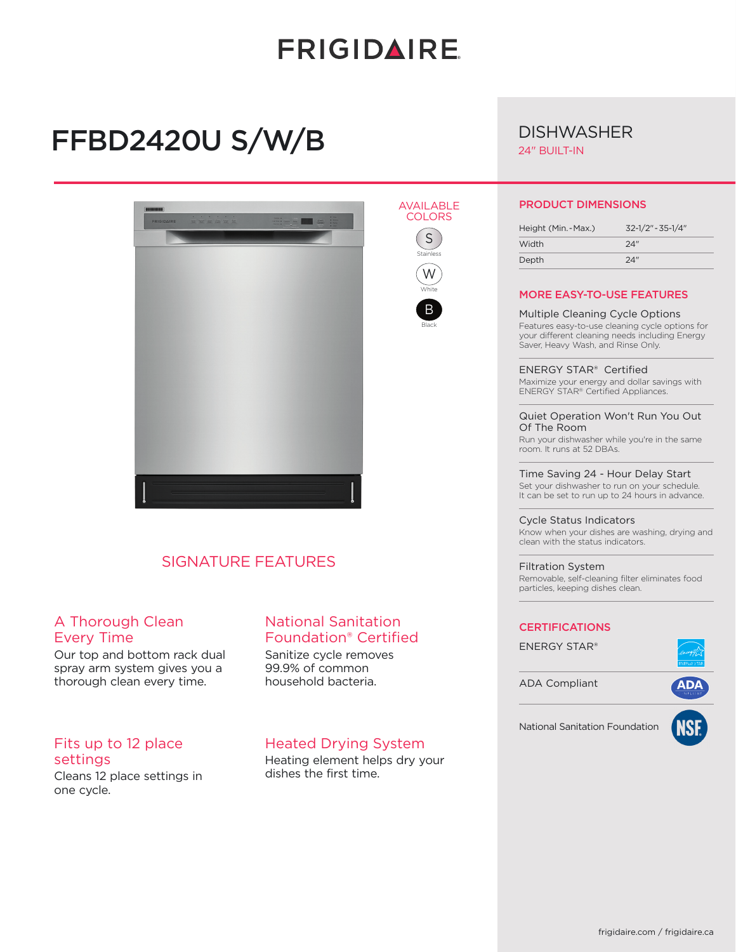# **FRIGIDAIRE**

AVAILABLE **COLORS**  $\boxed{S}$ Stainless W White B Black

# FFBD2420U S/W/B



## SIGNATURE FEATURES

### A Thorough Clean Every Time

Our top and bottom rack dual spray arm system gives you a thorough clean every time.

### Fits up to 12 place settings

Cleans 12 place settings in one cycle.

## National Sanitation Foundation® Certified

Sanitize cycle removes 99.9% of common household bacteria.

### Heated Drying System

Heating element helps dry your dishes the first time.

# **DISHWASHER**

24" BUILT-IN

#### PRODUCT DIMENSIONS

| Height (Min. - Max.) | $32 - 1/2" - 35 - 1/4"$ |
|----------------------|-------------------------|
| Width                | 24"                     |
| Depth                | 24"                     |

#### MORE EASY-TO-USE FEATURES

Multiple Cleaning Cycle Options Features easy-to-use cleaning cycle options for your different cleaning needs including Energy Saver, Heavy Wash, and Rinse Only.

ENERGY STAR® Certified Maximize your energy and dollar savings with ENERGY STAR® Certified Appliances.

#### Quiet Operation Won't Run You Out Of The Room

Run your dishwasher while you're in the same room. It runs at 52 DBAs.

Time Saving 24 - Hour Delay Start Set your dishwasher to run on your schedule. It can be set to run up to 24 hours in advance.

#### Cycle Status Indicators

Know when your dishes are washing, drying and clean with the status indicators.

#### Filtration System

Removable, self-cleaning filter eliminates food particles, keeping dishes clean.

#### **CERTIFICATIONS**

ENERGY STAR®



ADA Compliant





National Sanitation Foundation

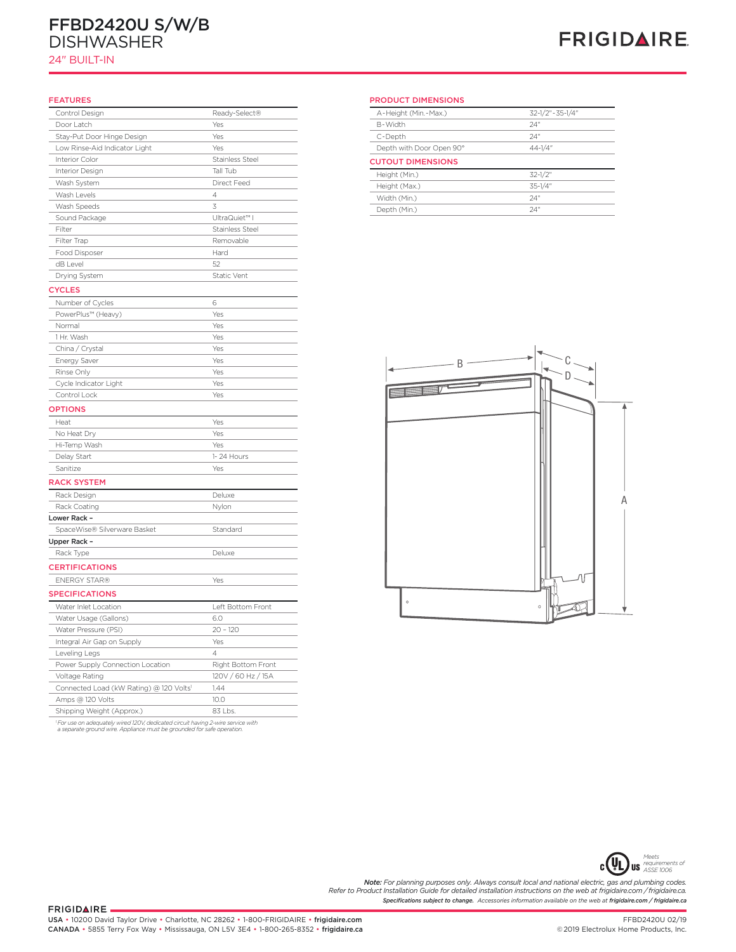# FFBD2420U S/W/B DISHWASHER

24" BUILT-IN

# **FRIGIDAIRE**

#### FEATURES

| Control Design                          | Ready-Select®          |
|-----------------------------------------|------------------------|
| Door Latch                              | Yes                    |
| Stay-Put Door Hinge Design              | Yes                    |
| Low Rinse-Aid Indicator Light           | Yes                    |
| Interior Color                          | <b>Stainless Steel</b> |
| Interior Design                         | Tall Tub               |
| Wash System                             | Direct Feed            |
| Wash Levels                             | $\overline{4}$         |
| Wash Speeds                             | 3                      |
| Sound Package                           | UltraQuiet™ I          |
| Filter                                  | Stainless Steel        |
| Filter Trap                             | Removable              |
| Food Disposer                           | Hard                   |
| dB Level                                | 52                     |
| Drying System                           | Static Vent            |
| <b>CYCLES</b>                           |                        |
| Number of Cycles                        | 6                      |
| PowerPlus™ (Heavy)                      | Yes                    |
| Normal                                  | Yes                    |
| 1 Hr. Wash                              | Yes                    |
| China / Crystal                         | Yes                    |
| <b>Energy Saver</b>                     | Yes                    |
| Rinse Only                              | Yes                    |
| Cycle Indicator Light                   | Yes                    |
| Control Lock                            | Yes                    |
| <b>OPTIONS</b>                          |                        |
|                                         |                        |
| Heat                                    | Yes                    |
| No Heat Dry                             | Yes                    |
| Hi-Temp Wash                            | Yes                    |
| Delay Start                             | 1-24 Hours             |
| Sanitize                                | Yes                    |
| <b>RACK SYSTEM</b>                      |                        |
| Rack Design                             | Deluxe                 |
| Rack Coating                            | Nylon                  |
| Lower Rack -                            |                        |
| SpaceWise® Silverware Basket            | Standard               |
| Upper Rack -                            |                        |
| Rack Type                               | Deluxe                 |
| <b>CERTIFICATIONS</b>                   |                        |
| <b>ENERGY STAR®</b>                     | Yes                    |
| <b>SPECIFICATIONS</b>                   |                        |
| Water Inlet Location                    | Left Bottom Front      |
| Water Usage (Gallons)                   | 6.0                    |
| Water Pressure (PSI)                    | $20 - 120$             |
| Integral Air Gap on Supply              | Yes                    |
| Leveling Legs                           | 4                      |
| Power Supply Connection Location        | Right Bottom Front     |
| Voltage Rating                          | 120V / 60 Hz / 15A     |
| Connected Load (kW Rating) @ 120 Volts1 | 1.44                   |
| Amps @ 120 Volts                        | 10.0                   |
| Shipping Weight (Approx.)               | 83 Lbs.                |
|                                         |                        |

*1 For use on adequately wired 120V, dedicated circuit having 2-wire service with a separate ground wire. Appliance must be grounded for safe operation.*

PRODUCT DIMENSIONS

| A-Height (Min.-Max.)     | 32-1/2" - 35-1/4" |  |
|--------------------------|-------------------|--|
| B-Width                  | 24"               |  |
| C-Depth                  | 24"               |  |
| Depth with Door Open 90° | $44 - 1/4"$       |  |
| <b>CUTOUT DIMENSIONS</b> |                   |  |
|                          |                   |  |
| Height (Min.)            | $32 - 1/2$ "      |  |
| Height (Max.)            | $35 - 1/4$ "      |  |
| Width (Min.)             | 24"               |  |





*Specifications subject to change. Accessories information available on the web at frigidaire.com / frigidaire.ca* **Note:** For planning purposes only. Always consult local and national electric, gas and plumbing codes.<br>Refer to Product Installation Guide for detailed installation instructions on the web at frigidaire.com / frigidaire.c